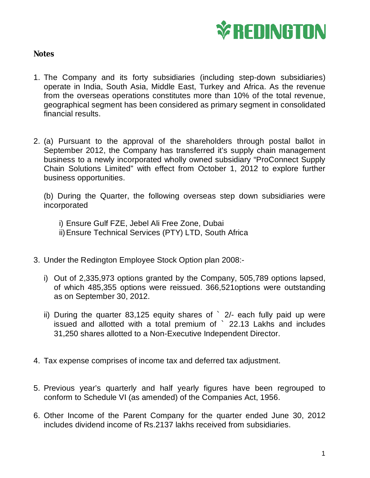

## **Notes**

- 1. The Company and its forty subsidiaries (including step-down subsidiaries) operate in India, South Asia, Middle East, Turkey and Africa. As the revenue from the overseas operations constitutes more than 10% of the total revenue, geographical segment has been considered as primary segment in consolidated financial results.
- 2. (a) Pursuant to the approval of the shareholders through postal ballot in September 2012, the Company has transferred it's supply chain management business to a newly incorporated wholly owned subsidiary "ProConnect Supply Chain Solutions Limited" with effect from October 1, 2012 to explore further business opportunities.

(b) During the Quarter, the following overseas step down subsidiaries were incorporated

i) Ensure Gulf FZE, Jebel Ali Free Zone, Dubai ii)Ensure Technical Services (PTY) LTD, South Africa

- 3. Under the Redington Employee Stock Option plan 2008:
	- i) Out of 2,335,973 options granted by the Company, 505,789 options lapsed, of which 485,355 options were reissued. 366,521options were outstanding as on September 30, 2012.
	- ii) During the quarter 83,125 equity shares of ` 2/- each fully paid up were issued and allotted with a total premium of ` 22.13 Lakhs and includes 31,250 shares allotted to a Non-Executive Independent Director.
- 4. Tax expense comprises of income tax and deferred tax adjustment.
- 5. Previous year's quarterly and half yearly figures have been regrouped to conform to Schedule VI (as amended) of the Companies Act, 1956.
- 6. Other Income of the Parent Company for the quarter ended June 30, 2012 includes dividend income of Rs.2137 lakhs received from subsidiaries.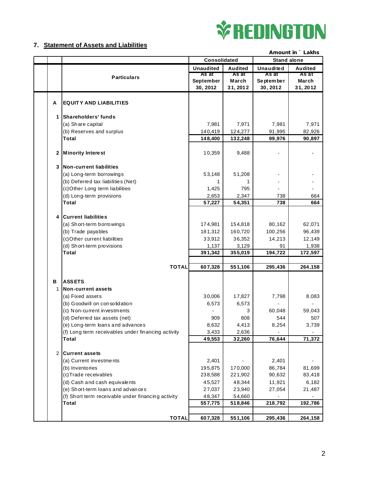

## **7. Statement of Assets and Liabilities**

|   |                                                    | Amount in ` Lakhs |                |                    |                |
|---|----------------------------------------------------|-------------------|----------------|--------------------|----------------|
|   |                                                    | Consolidated      |                | <b>Stand alone</b> |                |
|   |                                                    | <b>Unaudited</b>  | <b>Audited</b> | Unaudited          | <b>Audited</b> |
|   | <b>Particulars</b>                                 | As at             | As at          | As at              | As at          |
|   |                                                    | September         | March          | September          | March          |
|   |                                                    | 30, 2012          | 31, 2012       | 30, 2012           | 31, 2012       |
|   |                                                    |                   |                |                    |                |
| A | <b>EQUITY AND LIABILITIES</b>                      |                   |                |                    |                |
|   |                                                    |                   |                |                    |                |
| 1 | Shareholders' funds                                |                   |                |                    |                |
|   | (a) Share capital                                  | 7,981             | 7,971          | 7,981              | 7,971          |
|   | (b) Reserves and surplus                           | 140,419           | 124,277        | 91,995             | 82,926         |
|   | Total                                              | 148,400           | 132,248        | 99,976             | 90,897         |
|   |                                                    |                   |                |                    |                |
| 2 | <b>Minority Interest</b>                           | 10,359            | 9,488          |                    |                |
|   |                                                    |                   |                |                    |                |
| 3 | Non-current liabilities                            |                   |                |                    |                |
|   | (a) Long-term borrowings                           | 53,148            | 51,208         |                    |                |
|   | (b) Deferred tax liabilities (Net)                 | 1                 | 1              |                    |                |
|   | (c)Other Long term liabilities                     | 1,425             | 795            |                    |                |
|   | (d) Long-term provisions                           | 2,653             | 2,347          | 738                | 664            |
|   | <b>Total</b>                                       | 57,227            | 54,351         | 738                | 664            |
|   |                                                    |                   |                |                    |                |
| 4 | <b>Current liabilities</b>                         |                   |                |                    |                |
|   | (a) Short-term borrowings                          | 174,981           | 154,818        | 80,162             | 62,071         |
|   | (b) Trade payables                                 | 181,312           | 160,720        | 100,256            | 96,439         |
|   | (c) Other current liabilities                      | 33,912            | 36,352         | 14,213             | 12,149         |
|   | (d) Short-term provisions                          | 1,137             | 3,129          | 91                 | 1,938          |
|   | <b>Total</b>                                       | 391,342           | 355,019        | 194,722            | 172,597        |
|   |                                                    |                   |                |                    |                |
|   | <b>TOTAL</b>                                       | 607,328           | 551,106        | 295,436            | 264,158        |
|   |                                                    |                   |                |                    |                |
| В | <b>ASSETS</b>                                      |                   |                |                    |                |
| 1 | <b>Non-current assets</b>                          |                   |                |                    |                |
|   | (a) Fixed assets                                   | 30,006            | 17,827         | 7,798              | 8,083          |
|   | (b) Goodwill on consolidation                      | 6,573             | 6,573          |                    |                |
|   | (c) N on-cu rrent investments                      |                   | 3              | 60,048             | 59,043         |
|   | (d) Deferred tax assets (net)                      | 909               | 808            | 544                | 507            |
|   | (e) Long-term loans and advances                   | 8,632             | 4,413          | 8,254              | 3,739          |
|   | (f) Long term receivables under financing activity | 3,433             | 2,636          |                    |                |
|   | <b>Total</b>                                       | 49,553            | 32,260         | 76,644             | 71,372         |
|   |                                                    |                   |                |                    |                |
| 2 | <b>Current assets</b>                              |                   |                |                    |                |
|   | (a) Current investments                            | 2,401             |                | 2,401              |                |
|   | (b) Inventories                                    | 195,875           | 170,000        | 86,784             | 81,699         |
|   | (c) Trade receivables                              | 238,588           | 221,902        | 90,632             | 83,418         |
|   | (d) Cash and cash equivalents                      | 45,527            | 48,344         | 11,921             | 6,182          |
|   | (e) Short-term loans and advances                  | 27,037            | 23,940         | 27,054             | 21,487         |
|   | (f) Short term receivable under financing activity | 48,347            | 54,660         |                    |                |
|   | <b>Total</b>                                       | 557,775           | 518,846        | 218,792            | 192,786        |
|   |                                                    |                   |                |                    |                |
|   | <b>TOTAL</b>                                       | 607,328           | 551,106        | 295,436            | 264,158        |